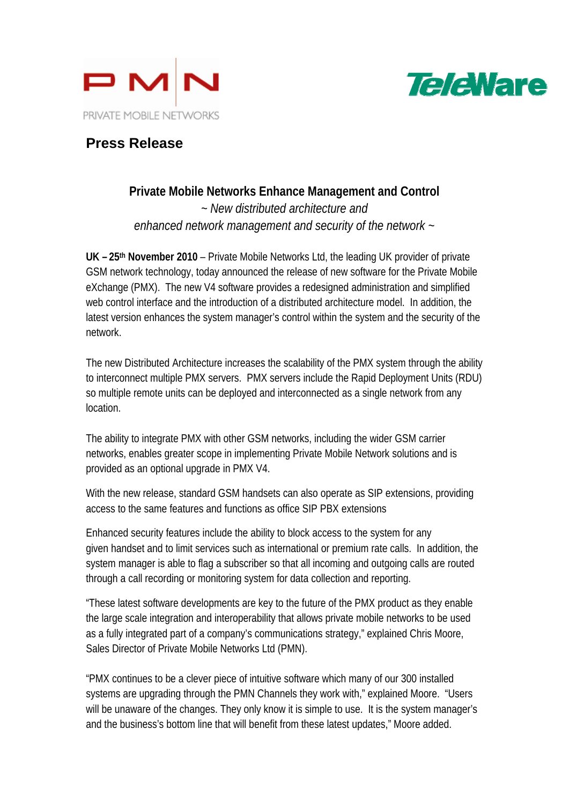



## **Press Release**

## **Private Mobile Networks Enhance Management and Control** *~ New distributed architecture and enhanced network management and security of the network ~*

**UK – 25th November 2010** – Private Mobile Networks Ltd, the leading UK provider of private GSM network technology, today announced the release of new software for the Private Mobile eXchange (PMX). The new V4 software provides a redesigned administration and simplified web control interface and the introduction of a distributed architecture model. In addition, the latest version enhances the system manager's control within the system and the security of the network.

The new Distributed Architecture increases the scalability of the PMX system through the ability to interconnect multiple PMX servers. PMX servers include the Rapid Deployment Units (RDU) so multiple remote units can be deployed and interconnected as a single network from any location.

The ability to integrate PMX with other GSM networks, including the wider GSM carrier networks, enables greater scope in implementing Private Mobile Network solutions and is provided as an optional upgrade in PMX V4.

With the new release, standard GSM handsets can also operate as SIP extensions, providing access to the same features and functions as office SIP PBX extensions

Enhanced security features include the ability to block access to the system for any given handset and to limit services such as international or premium rate calls. In addition, the system manager is able to flag a subscriber so that all incoming and outgoing calls are routed through a call recording or monitoring system for data collection and reporting.

"These latest software developments are key to the future of the PMX product as they enable the large scale integration and interoperability that allows private mobile networks to be used as a fully integrated part of a company's communications strategy," explained Chris Moore, Sales Director of Private Mobile Networks Ltd (PMN).

"PMX continues to be a clever piece of intuitive software which many of our 300 installed systems are upgrading through the PMN Channels they work with," explained Moore. "Users will be unaware of the changes. They only know it is simple to use. It is the system manager's and the business's bottom line that will benefit from these latest updates," Moore added.